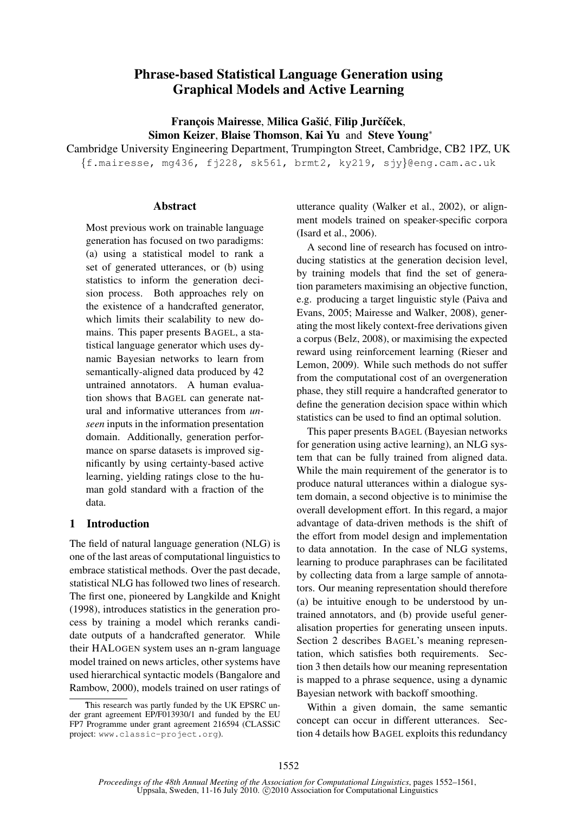# Phrase-based Statistical Language Generation using Graphical Models and Active Learning

François Mairesse, Milica Gašić, Filip Jurčíček, Simon Keizer, Blaise Thomson, Kai Yu and Steve Young<sup>∗</sup>

Cambridge University Engineering Department, Trumpington Street, Cambridge, CB2 1PZ, UK {f.mairesse, mg436, fj228, sk561, brmt2, ky219, sjy}@eng.cam.ac.uk

### Abstract

Most previous work on trainable language generation has focused on two paradigms: (a) using a statistical model to rank a set of generated utterances, or (b) using statistics to inform the generation decision process. Both approaches rely on the existence of a handcrafted generator, which limits their scalability to new domains. This paper presents BAGEL, a statistical language generator which uses dynamic Bayesian networks to learn from semantically-aligned data produced by 42 untrained annotators. A human evaluation shows that BAGEL can generate natural and informative utterances from *unseen* inputs in the information presentation domain. Additionally, generation performance on sparse datasets is improved significantly by using certainty-based active learning, yielding ratings close to the human gold standard with a fraction of the data.

# 1 Introduction

The field of natural language generation (NLG) is one of the last areas of computational linguistics to embrace statistical methods. Over the past decade, statistical NLG has followed two lines of research. The first one, pioneered by Langkilde and Knight (1998), introduces statistics in the generation process by training a model which reranks candidate outputs of a handcrafted generator. While their HALOGEN system uses an n-gram language model trained on news articles, other systems have used hierarchical syntactic models (Bangalore and Rambow, 2000), models trained on user ratings of utterance quality (Walker et al., 2002), or alignment models trained on speaker-specific corpora (Isard et al., 2006).

A second line of research has focused on introducing statistics at the generation decision level, by training models that find the set of generation parameters maximising an objective function, e.g. producing a target linguistic style (Paiva and Evans, 2005; Mairesse and Walker, 2008), generating the most likely context-free derivations given a corpus (Belz, 2008), or maximising the expected reward using reinforcement learning (Rieser and Lemon, 2009). While such methods do not suffer from the computational cost of an overgeneration phase, they still require a handcrafted generator to define the generation decision space within which statistics can be used to find an optimal solution.

This paper presents BAGEL (Bayesian networks for generation using active learning), an NLG system that can be fully trained from aligned data. While the main requirement of the generator is to produce natural utterances within a dialogue system domain, a second objective is to minimise the overall development effort. In this regard, a major advantage of data-driven methods is the shift of the effort from model design and implementation to data annotation. In the case of NLG systems, learning to produce paraphrases can be facilitated by collecting data from a large sample of annotators. Our meaning representation should therefore (a) be intuitive enough to be understood by untrained annotators, and (b) provide useful generalisation properties for generating unseen inputs. Section 2 describes BAGEL's meaning representation, which satisfies both requirements. Section 3 then details how our meaning representation is mapped to a phrase sequence, using a dynamic Bayesian network with backoff smoothing.

Within a given domain, the same semantic concept can occur in different utterances. Section 4 details how BAGEL exploits this redundancy

This research was partly funded by the UK EPSRC under grant agreement EP/F013930/1 and funded by the EU FP7 Programme under grant agreement 216594 (CLASSiC project: www.classic-project.org).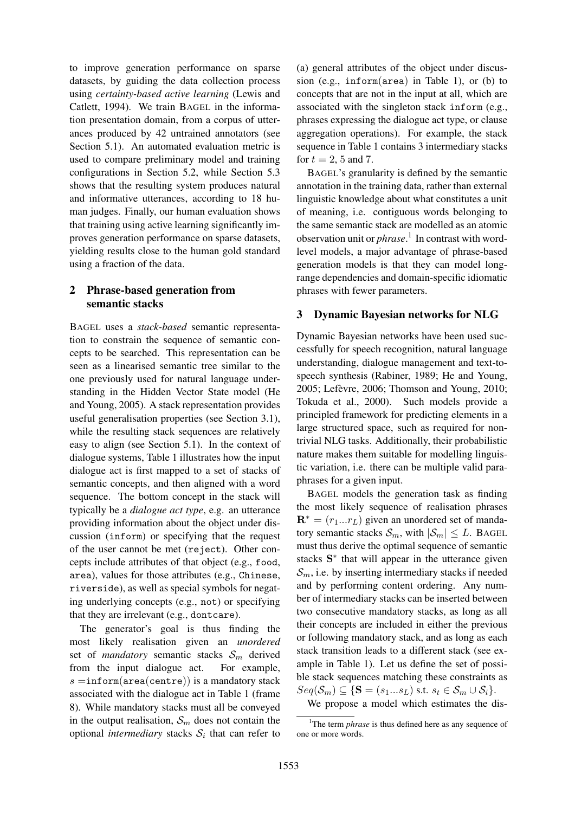to improve generation performance on sparse datasets, by guiding the data collection process using *certainty-based active learning* (Lewis and Catlett, 1994). We train BAGEL in the information presentation domain, from a corpus of utterances produced by 42 untrained annotators (see Section 5.1). An automated evaluation metric is used to compare preliminary model and training configurations in Section 5.2, while Section 5.3 shows that the resulting system produces natural and informative utterances, according to 18 human judges. Finally, our human evaluation shows that training using active learning significantly improves generation performance on sparse datasets, yielding results close to the human gold standard using a fraction of the data.

# 2 Phrase-based generation from semantic stacks

BAGEL uses a *stack-based* semantic representation to constrain the sequence of semantic concepts to be searched. This representation can be seen as a linearised semantic tree similar to the one previously used for natural language understanding in the Hidden Vector State model (He and Young, 2005). A stack representation provides useful generalisation properties (see Section 3.1), while the resulting stack sequences are relatively easy to align (see Section 5.1). In the context of dialogue systems, Table 1 illustrates how the input dialogue act is first mapped to a set of stacks of semantic concepts, and then aligned with a word sequence. The bottom concept in the stack will typically be a *dialogue act type*, e.g. an utterance providing information about the object under discussion (inform) or specifying that the request of the user cannot be met (reject). Other concepts include attributes of that object (e.g., food, area), values for those attributes (e.g., Chinese, riverside), as well as special symbols for negating underlying concepts (e.g., not) or specifying that they are irrelevant (e.g., dontcare).

The generator's goal is thus finding the most likely realisation given an *unordered* set of *mandatory* semantic stacks  $S_m$  derived from the input dialogue act. For example,  $s =$ inform(area(centre)) is a mandatory stack associated with the dialogue act in Table 1 (frame 8). While mandatory stacks must all be conveyed in the output realisation,  $S_m$  does not contain the optional *intermediary* stacks  $S_i$  that can refer to

(a) general attributes of the object under discussion (e.g., inform(area) in Table 1), or (b) to concepts that are not in the input at all, which are associated with the singleton stack inform (e.g., phrases expressing the dialogue act type, or clause aggregation operations). For example, the stack sequence in Table 1 contains 3 intermediary stacks for  $t = 2, 5$  and 7.

BAGEL's granularity is defined by the semantic annotation in the training data, rather than external linguistic knowledge about what constitutes a unit of meaning, i.e. contiguous words belonging to the same semantic stack are modelled as an atomic observation unit or *phrase*. 1 In contrast with wordlevel models, a major advantage of phrase-based generation models is that they can model longrange dependencies and domain-specific idiomatic phrases with fewer parameters.

# 3 Dynamic Bayesian networks for NLG

Dynamic Bayesian networks have been used successfully for speech recognition, natural language understanding, dialogue management and text-tospeech synthesis (Rabiner, 1989; He and Young, 2005; Lefevre, 2006; Thomson and Young, 2010; ` Tokuda et al., 2000). Such models provide a principled framework for predicting elements in a large structured space, such as required for nontrivial NLG tasks. Additionally, their probabilistic nature makes them suitable for modelling linguistic variation, i.e. there can be multiple valid paraphrases for a given input.

BAGEL models the generation task as finding the most likely sequence of realisation phrases  $\mathbf{R}^* = (r_1...r_L)$  given an unordered set of mandatory semantic stacks  $S_m$ , with  $|S_m| \leq L$ . BAGEL must thus derive the optimal sequence of semantic stacks S<sup>\*</sup> that will appear in the utterance given  $\mathcal{S}_m$ , i.e. by inserting intermediary stacks if needed and by performing content ordering. Any number of intermediary stacks can be inserted between two consecutive mandatory stacks, as long as all their concepts are included in either the previous or following mandatory stack, and as long as each stack transition leads to a different stack (see example in Table 1). Let us define the set of possible stack sequences matching these constraints as  $Seq(\mathcal{S}_m) \subseteq \{ \mathbf{S} = (s_1...s_L) \text{ s.t. } s_t \in \mathcal{S}_m \cup \mathcal{S}_i \}.$ 

We propose a model which estimates the dis-

<sup>&</sup>lt;sup>1</sup>The term *phrase* is thus defined here as any sequence of one or more words.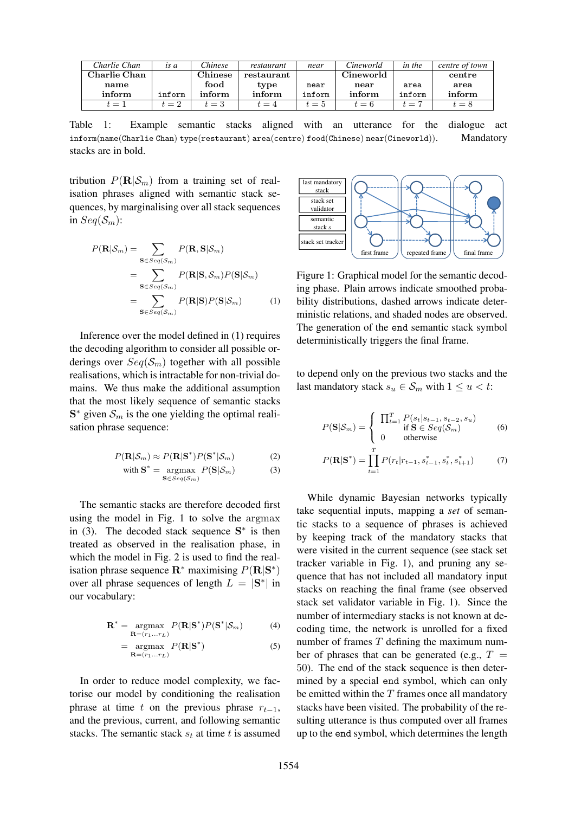| Charlie Chan  | is a   | Chinese                     | restaurant | near   | Cineworld | in the | centre of town |
|---------------|--------|-----------------------------|------------|--------|-----------|--------|----------------|
| Charlie Chan- |        | $\mathop{\mathrm{Chinese}}$ | restaurant |        | Cineworld |        | centre         |
| name          |        | food                        | type       | near   | near      | area   | area           |
| inform        | inform | inform                      | inform     | inform | inform    | inform | inform         |
| $t=1$         | $t=2$  | $t=3$                       | $t=4$      | $t=5$  | $t=6$     | $t=7$  | $t = 8$        |

Table 1: Example semantic stacks aligned with an utterance for the dialogue act inform(name(Charlie Chan) type(restaurant) area(centre) food(Chinese) near(Cineworld)). Mandatory stacks are in bold.

tribution  $P(\mathbf{R}|\mathcal{S}_m)$  from a training set of realisation phrases aligned with semantic stack sequences, by marginalising over all stack sequences in  $Seq(\mathcal{S}_m)$ :

$$
P(\mathbf{R}|\mathcal{S}_m) = \sum_{\mathbf{S} \in Seq(\mathcal{S}_m)} P(\mathbf{R}, \mathbf{S}|\mathcal{S}_m)
$$
  
= 
$$
\sum_{\mathbf{S} \in Seq(\mathcal{S}_m)} P(\mathbf{R}|\mathbf{S}, \mathcal{S}_m) P(\mathbf{S}|\mathcal{S}_m)
$$
  
= 
$$
\sum_{\mathbf{S} \in Seq(\mathcal{S}_m)} P(\mathbf{R}|\mathbf{S}) P(\mathbf{S}|\mathcal{S}_m)
$$
 (1)

Inference over the model defined in (1) requires the decoding algorithm to consider all possible orderings over  $Seq(S_m)$  together with all possible realisations, which is intractable for non-trivial domains. We thus make the additional assumption that the most likely sequence of semantic stacks  $S^*$  given  $S_m$  is the one yielding the optimal realisation phrase sequence:

$$
P(\mathbf{R}|\mathcal{S}_m) \approx P(\mathbf{R}|\mathbf{S}^*)P(\mathbf{S}^*|\mathcal{S}_m)
$$
 (2)

with 
$$
\mathbf{S}^* = \underset{\mathbf{S} \in Seq(\mathcal{S}_m)}{\operatorname{argmax}} P(\mathbf{S} | \mathcal{S}_m)
$$
 (3)

The semantic stacks are therefore decoded first using the model in Fig. 1 to solve the argmax in (3). The decoded stack sequence  $S^*$  is then treated as observed in the realisation phase, in which the model in Fig. 2 is used to find the realisation phrase sequence  $\mathbf{R}^*$  maximising  $P(\mathbf{R}|\mathbf{S}^*)$ over all phrase sequences of length  $L = |\mathbf{S}^*|$  in our vocabulary:

$$
\mathbf{R}^* = \underset{\mathbf{R} = (r_1 \dots r_L)}{\text{argmax}} P(\mathbf{R} | \mathbf{S}^*) P(\mathbf{S}^* | \mathcal{S}_m)
$$
(4)

$$
= \underset{\mathbf{R} = (r_1...r_L)}{\text{argmax}} P(\mathbf{R}|\mathbf{S}^*)
$$
(5)

In order to reduce model complexity, we factorise our model by conditioning the realisation phrase at time t on the previous phrase  $r_{t-1}$ , and the previous, current, and following semantic stacks. The semantic stack  $s_t$  at time t is assumed



Figure 1: Graphical model for the semantic decoding phase. Plain arrows indicate smoothed probability distributions, dashed arrows indicate deterministic relations, and shaded nodes are observed. The generation of the end semantic stack symbol deterministically triggers the final frame.

to depend only on the previous two stacks and the last mandatory stack  $s_u \in S_m$  with  $1 \le u < t$ :

$$
P(\mathbf{S}|\mathcal{S}_m) = \begin{cases} \prod_{t=1}^T P(s_t|s_{t-1}, s_{t-2}, s_u) \\ \text{if } \mathbf{S} \in Seq(\mathcal{S}_m) \\ 0 \quad \text{otherwise} \end{cases} \tag{6}
$$

$$
P(\mathbf{R}|\mathbf{S}^*) = \prod_{t=1}^T P(r_t|r_{t-1}, s_{t-1}^*, s_t^*, s_{t+1}^*)
$$
(7)

While dynamic Bayesian networks typically take sequential inputs, mapping a *set* of semantic stacks to a sequence of phrases is achieved by keeping track of the mandatory stacks that were visited in the current sequence (see stack set tracker variable in Fig. 1), and pruning any sequence that has not included all mandatory input stacks on reaching the final frame (see observed stack set validator variable in Fig. 1). Since the number of intermediary stacks is not known at decoding time, the network is unrolled for a fixed number of frames  $T$  defining the maximum number of phrases that can be generated (e.g.,  $T =$ 50). The end of the stack sequence is then determined by a special end symbol, which can only be emitted within the  $T$  frames once all mandatory stacks have been visited. The probability of the resulting utterance is thus computed over all frames up to the end symbol, which determines the length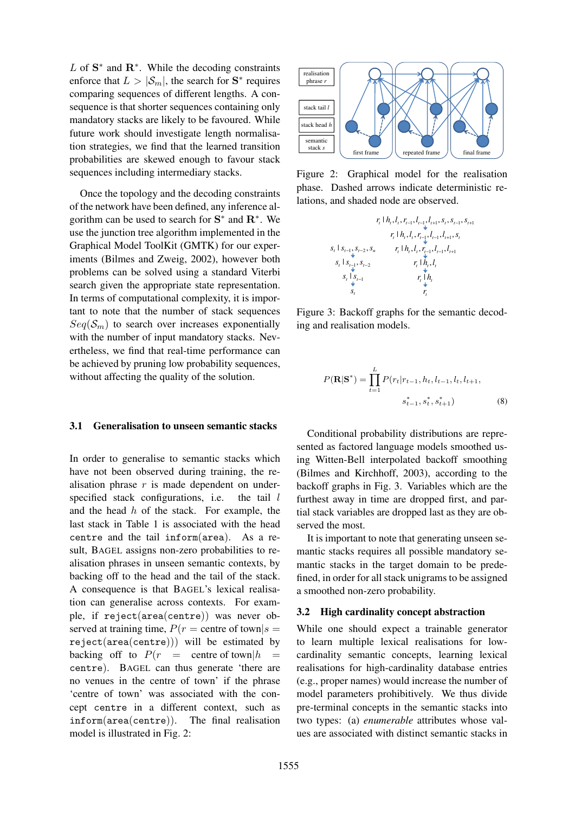$L$  of  $S^*$  and  $R^*$ . While the decoding constraints enforce that  $L > |\mathcal{S}_m|$ , the search for  $S^*$  requires comparing sequences of different lengths. A consequence is that shorter sequences containing only mandatory stacks are likely to be favoured. While future work should investigate length normalisation strategies, we find that the learned transition probabilities are skewed enough to favour stack sequences including intermediary stacks.

Once the topology and the decoding constraints of the network have been defined, any inference algorithm can be used to search for  $S^*$  and  $R^*$ . We use the junction tree algorithm implemented in the Graphical Model ToolKit (GMTK) for our experiments (Bilmes and Zweig, 2002), however both problems can be solved using a standard Viterbi search given the appropriate state representation. In terms of computational complexity, it is important to note that the number of stack sequences  $Seq(S_m)$  to search over increases exponentially with the number of input mandatory stacks. Nevertheless, we find that real-time performance can be achieved by pruning low probability sequences, without affecting the quality of the solution.

#### 3.1 Generalisation to unseen semantic stacks

In order to generalise to semantic stacks which have not been observed during training, the realisation phrase  $r$  is made dependent on underspecified stack configurations, i.e. the tail l and the head  $h$  of the stack. For example, the last stack in Table 1 is associated with the head centre and the tail inform(area). As a result, BAGEL assigns non-zero probabilities to realisation phrases in unseen semantic contexts, by backing off to the head and the tail of the stack. A consequence is that BAGEL's lexical realisation can generalise across contexts. For example, if reject(area(centre)) was never observed at training time,  $P(r =$  centre of town $|s =$ reject(area(centre))) will be estimated by backing off to  $P(r) =$  centre of town  $|h|$ centre). BAGEL can thus generate 'there are no venues in the centre of town' if the phrase 'centre of town' was associated with the concept centre in a different context, such as inform(area(centre)). The final realisation model is illustrated in Fig. 2:



Figure 2: Graphical model for the realisation phase. Dashed arrows indicate deterministic relations, and shaded node are observed.



Figure 3: Backoff graphs for the semantic decoding and realisation models.

$$
P(\mathbf{R}|\mathbf{S}^*) = \prod_{t=1}^{L} P(r_t|r_{t-1}, h_t, l_{t-1}, l_t, l_{t+1},
$$

$$
s_{t-1}^*, s_t^*, s_{t+1}^* \tag{8}
$$

Conditional probability distributions are represented as factored language models smoothed using Witten-Bell interpolated backoff smoothing (Bilmes and Kirchhoff, 2003), according to the backoff graphs in Fig. 3. Variables which are the furthest away in time are dropped first, and partial stack variables are dropped last as they are observed the most.

It is important to note that generating unseen semantic stacks requires all possible mandatory semantic stacks in the target domain to be predefined, in order for all stack unigrams to be assigned a smoothed non-zero probability.

#### 3.2 High cardinality concept abstraction

While one should expect a trainable generator to learn multiple lexical realisations for lowcardinality semantic concepts, learning lexical realisations for high-cardinality database entries (e.g., proper names) would increase the number of model parameters prohibitively. We thus divide pre-terminal concepts in the semantic stacks into two types: (a) *enumerable* attributes whose values are associated with distinct semantic stacks in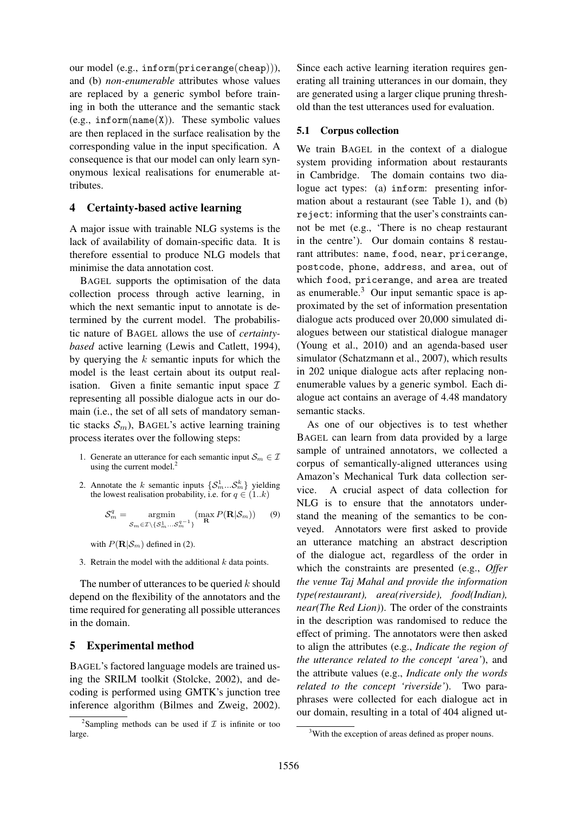our model (e.g., inform(pricerange(cheap))), and (b) *non-enumerable* attributes whose values are replaced by a generic symbol before training in both the utterance and the semantic stack (e.g.,  $inform(name(X))$ . These symbolic values are then replaced in the surface realisation by the corresponding value in the input specification. A consequence is that our model can only learn synonymous lexical realisations for enumerable attributes.

### 4 Certainty-based active learning

A major issue with trainable NLG systems is the lack of availability of domain-specific data. It is therefore essential to produce NLG models that minimise the data annotation cost.

BAGEL supports the optimisation of the data collection process through active learning, in which the next semantic input to annotate is determined by the current model. The probabilistic nature of BAGEL allows the use of *certaintybased* active learning (Lewis and Catlett, 1994), by querying the  $k$  semantic inputs for which the model is the least certain about its output realisation. Given a finite semantic input space  $\mathcal I$ representing all possible dialogue acts in our domain (i.e., the set of all sets of mandatory semantic stacks  $S_m$ ), BAGEL's active learning training process iterates over the following steps:

- 1. Generate an utterance for each semantic input  $\mathcal{S}_m \in \mathcal{I}$ using the current model.<sup>2</sup>
- 2. Annotate the k semantic inputs  $\{\mathcal{S}_m^1...\mathcal{S}_m^k\}$  yielding the lowest realisation probability, i.e. for  $q \in (1..k)$

$$
\mathcal{S}_m^q = \underset{\mathcal{S}_m \in \mathcal{I} \setminus \{ \mathcal{S}_m^1 \dots \mathcal{S}_m^{q-1} \}}{\text{argmin}} (\max_{\mathbf{R}} P(\mathbf{R} | \mathcal{S}_m)) \qquad (9)
$$

with  $P(\mathbf{R}|\mathcal{S}_m)$  defined in (2).

3. Retrain the model with the additional  $k$  data points.

The number of utterances to be queried  $k$  should depend on the flexibility of the annotators and the time required for generating all possible utterances in the domain.

# 5 Experimental method

BAGEL's factored language models are trained using the SRILM toolkit (Stolcke, 2002), and decoding is performed using GMTK's junction tree inference algorithm (Bilmes and Zweig, 2002). Since each active learning iteration requires generating all training utterances in our domain, they are generated using a larger clique pruning threshold than the test utterances used for evaluation.

## 5.1 Corpus collection

We train BAGEL in the context of a dialogue system providing information about restaurants in Cambridge. The domain contains two dialogue act types: (a) inform: presenting information about a restaurant (see Table 1), and (b) reject: informing that the user's constraints cannot be met (e.g., 'There is no cheap restaurant in the centre'). Our domain contains 8 restaurant attributes: name, food, near, pricerange, postcode, phone, address, and area, out of which food, pricerange, and area are treated as enumerable. $3$  Our input semantic space is approximated by the set of information presentation dialogue acts produced over 20,000 simulated dialogues between our statistical dialogue manager (Young et al., 2010) and an agenda-based user simulator (Schatzmann et al., 2007), which results in 202 unique dialogue acts after replacing nonenumerable values by a generic symbol. Each dialogue act contains an average of 4.48 mandatory semantic stacks.

As one of our objectives is to test whether BAGEL can learn from data provided by a large sample of untrained annotators, we collected a corpus of semantically-aligned utterances using Amazon's Mechanical Turk data collection service. A crucial aspect of data collection for NLG is to ensure that the annotators understand the meaning of the semantics to be conveyed. Annotators were first asked to provide an utterance matching an abstract description of the dialogue act, regardless of the order in which the constraints are presented (e.g., *Offer the venue Taj Mahal and provide the information type(restaurant), area(riverside), food(Indian), near(The Red Lion)*). The order of the constraints in the description was randomised to reduce the effect of priming. The annotators were then asked to align the attributes (e.g., *Indicate the region of the utterance related to the concept 'area'*), and the attribute values (e.g., *Indicate only the words related to the concept 'riverside'*). Two paraphrases were collected for each dialogue act in our domain, resulting in a total of 404 aligned ut-

<sup>&</sup>lt;sup>2</sup>Sampling methods can be used if  $\mathcal I$  is infinite or too large.

<sup>&</sup>lt;sup>3</sup>With the exception of areas defined as proper nouns.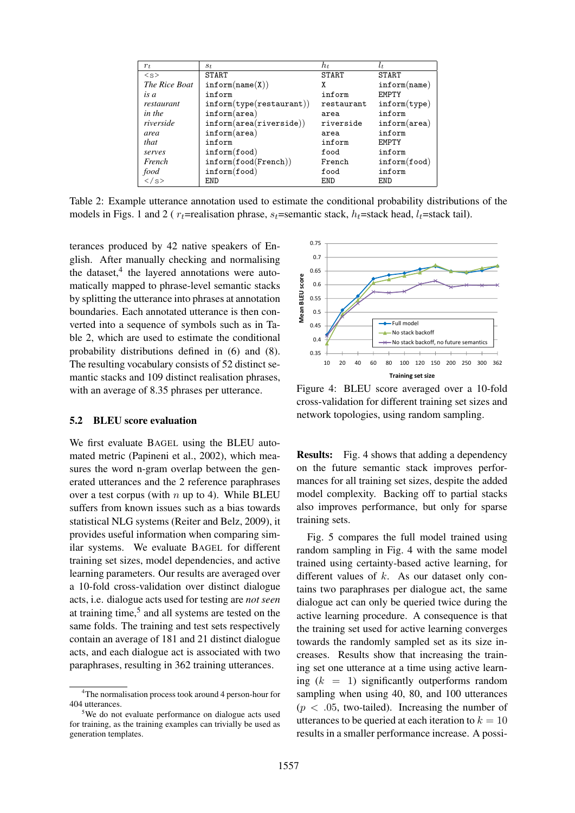| $r_{t}$       | $S_t$                               | $h_t$        | $l_{t}$               |
|---------------|-------------------------------------|--------------|-----------------------|
| < s >         | <b>START</b>                        | <b>START</b> | <b>START</b>          |
| The Rice Boat | $\mathtt{inform}(\mathtt{name}(X))$ | χ            | inform(name)          |
| is a          | inform                              | inform       | <b>FMPTY</b>          |
| restaurant    | inform(type(resultaurant))          | restaurant   | inform(type)          |
| in the        | $inform(\text{area})$               | area         | inform                |
| riverside     | $inform(\text{area}(riverside))$    | riverside    | $inform(\text{area})$ |
| area          | $inform(\text{area})$               | area         | inform                |
| that          | inform                              | inform       | <b>FMPTY</b>          |
| serves        | inform(food)                        | food         | inform                |
| French        | inform(food(French))                | French       | inform(food)          |
| food          | inform(food)                        | food         | inform                |
| $\langle$ /s> | END                                 | END          | END                   |

Table 2: Example utterance annotation used to estimate the conditional probability distributions of the models in Figs. 1 and 2 ( $r_t$ =realisation phrase,  $s_t$ =semantic stack,  $h_t$ =stack head,  $l_t$ =stack tail).

terances produced by 42 native speakers of English. After manually checking and normalising the dataset, $4$  the layered annotations were automatically mapped to phrase-level semantic stacks by splitting the utterance into phrases at annotation boundaries. Each annotated utterance is then converted into a sequence of symbols such as in Table 2, which are used to estimate the conditional probability distributions defined in (6) and (8). The resulting vocabulary consists of 52 distinct semantic stacks and 109 distinct realisation phrases, with an average of 8.35 phrases per utterance.

### 5.2 BLEU score evaluation

We first evaluate BAGEL using the BLEU automated metric (Papineni et al., 2002), which measures the word n-gram overlap between the generated utterances and the 2 reference paraphrases over a test corpus (with  $n \text{ up to } 4$ ). While BLEU suffers from known issues such as a bias towards statistical NLG systems (Reiter and Belz, 2009), it provides useful information when comparing similar systems. We evaluate BAGEL for different training set sizes, model dependencies, and active learning parameters. Our results are averaged over a 10-fold cross-validation over distinct dialogue acts, i.e. dialogue acts used for testing are *not seen* at training time, $5$  and all systems are tested on the same folds. The training and test sets respectively contain an average of 181 and 21 distinct dialogue acts, and each dialogue act is associated with two paraphrases, resulting in 362 training utterances.



Figure 4: BLEU score averaged over a 10-fold cross-validation for different training set sizes and network topologies, using random sampling.

Results: Fig. 4 shows that adding a dependency on the future semantic stack improves performances for all training set sizes, despite the added model complexity. Backing off to partial stacks also improves performance, but only for sparse training sets.

Fig. 5 compares the full model trained using random sampling in Fig. 4 with the same model trained using certainty-based active learning, for different values of  $k$ . As our dataset only contains two paraphrases per dialogue act, the same dialogue act can only be queried twice during the active learning procedure. A consequence is that the training set used for active learning converges towards the randomly sampled set as its size increases. Results show that increasing the training set one utterance at a time using active learning  $(k = 1)$  significantly outperforms random sampling when using 40, 80, and 100 utterances  $(p < .05,$  two-tailed). Increasing the number of utterances to be queried at each iteration to  $k = 10$ results in a smaller performance increase. A possi-

<sup>4</sup>The normalisation process took around 4 person-hour for 404 utterances.

<sup>&</sup>lt;sup>5</sup>We do not evaluate performance on dialogue acts used for training, as the training examples can trivially be used as generation templates.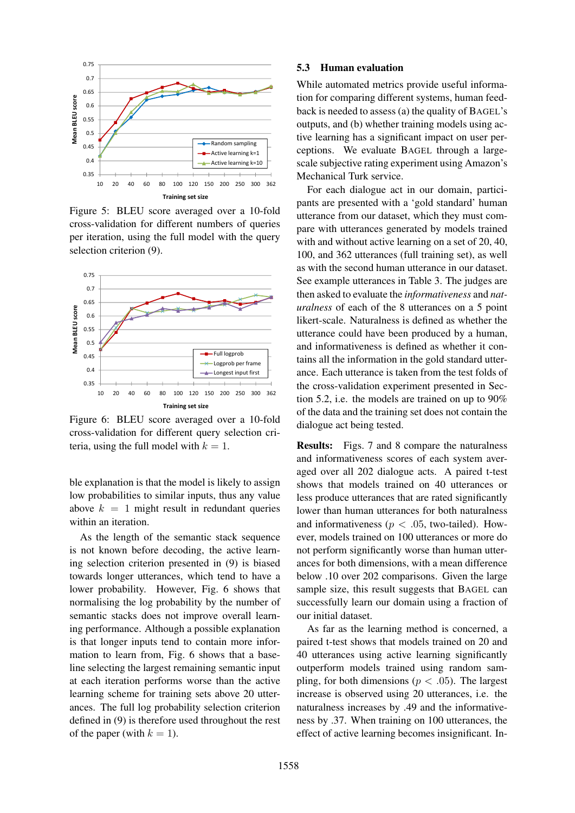

Figure 5: BLEU score averaged over a 10-fold cross-validation for different numbers of queries per iteration, using the full model with the query selection criterion (9).



Figure 6: BLEU score averaged over a 10-fold cross-validation for different query selection criteria, using the full model with  $k = 1$ .

ble explanation is that the model is likely to assign low probabilities to similar inputs, thus any value above  $k = 1$  might result in redundant queries within an iteration.

As the length of the semantic stack sequence is not known before decoding, the active learning selection criterion presented in (9) is biased towards longer utterances, which tend to have a lower probability. However, Fig. 6 shows that normalising the log probability by the number of semantic stacks does not improve overall learning performance. Although a possible explanation is that longer inputs tend to contain more information to learn from, Fig. 6 shows that a baseline selecting the largest remaining semantic input at each iteration performs worse than the active learning scheme for training sets above 20 utterances. The full log probability selection criterion defined in (9) is therefore used throughout the rest of the paper (with  $k = 1$ ).

#### 5.3 Human evaluation

While automated metrics provide useful information for comparing different systems, human feedback is needed to assess (a) the quality of BAGEL's outputs, and (b) whether training models using active learning has a significant impact on user perceptions. We evaluate BAGEL through a largescale subjective rating experiment using Amazon's Mechanical Turk service.

For each dialogue act in our domain, participants are presented with a 'gold standard' human utterance from our dataset, which they must compare with utterances generated by models trained with and without active learning on a set of 20, 40, 100, and 362 utterances (full training set), as well as with the second human utterance in our dataset. See example utterances in Table 3. The judges are then asked to evaluate the *informativeness* and *naturalness* of each of the 8 utterances on a 5 point likert-scale. Naturalness is defined as whether the utterance could have been produced by a human, and informativeness is defined as whether it contains all the information in the gold standard utterance. Each utterance is taken from the test folds of the cross-validation experiment presented in Section 5.2, i.e. the models are trained on up to 90% of the data and the training set does not contain the dialogue act being tested.

Results: Figs. 7 and 8 compare the naturalness and informativeness scores of each system averaged over all 202 dialogue acts. A paired t-test shows that models trained on 40 utterances or less produce utterances that are rated significantly lower than human utterances for both naturalness and informativeness ( $p < .05$ , two-tailed). However, models trained on 100 utterances or more do not perform significantly worse than human utterances for both dimensions, with a mean difference below .10 over 202 comparisons. Given the large sample size, this result suggests that BAGEL can successfully learn our domain using a fraction of our initial dataset.

As far as the learning method is concerned, a paired t-test shows that models trained on 20 and 40 utterances using active learning significantly outperform models trained using random sampling, for both dimensions ( $p < .05$ ). The largest increase is observed using 20 utterances, i.e. the naturalness increases by .49 and the informativeness by .37. When training on 100 utterances, the effect of active learning becomes insignificant. In-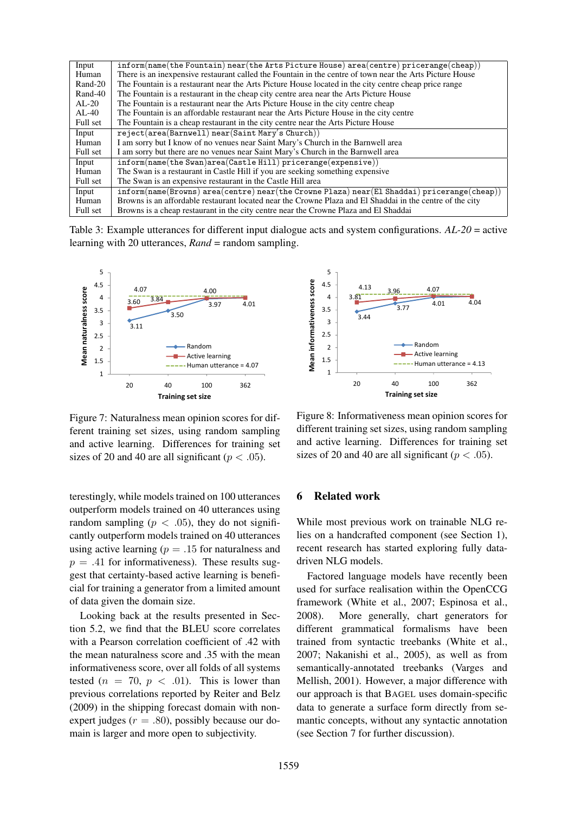| Input    | $information(name(the Foundation) near(the Arts Picture House) area(centre) price range(chcap))$                           |
|----------|----------------------------------------------------------------------------------------------------------------------------|
| Human    | There is an inexpensive restaurant called the Fountain in the centre of town near the Arts Picture House                   |
| Rand-20  | The Fountain is a restaurant near the Arts Picture House located in the city centre cheap price range                      |
| Rand-40  | The Fountain is a restaurant in the cheap city centre area near the Arts Picture House                                     |
| $AL-20$  | The Fountain is a restaurant near the Arts Picture House in the city centre cheap                                          |
| $AL-40$  | The Fountain is an affordable restaurant near the Arts Picture House in the city centre                                    |
| Full set | The Fountain is a cheap restaurant in the city centre near the Arts Picture House                                          |
| Input    | $reject(area(Barnwell) near(Saint Mary's Church))$                                                                         |
| Human    | I am sorry but I know of no venues near Saint Mary's Church in the Barnwell area                                           |
| Full set | I am sorry but there are no venues near Saint Mary's Church in the Barnwell area                                           |
| Input    | $\inf \{ \text{form}(\text{name}(\text{the Swan}) \text{area}(\text{Castle Hill}) \text{ pricerange}(\text{expensive}) \}$ |
| Human    | The Swan is a restaurant in Castle Hill if you are seeking something expensive                                             |
| Full set | The Swan is an expensive restaurant in the Castle Hill area                                                                |
| Input    | $information(name(Brows) area(centre) near(the Crowne Plaza) near(El Shaddai) price range(chcap))$                         |
| Human    | Browns is an affordable restaurant located near the Crowne Plaza and El Shaddai in the centre of the city                  |
| Full set | Browns is a cheap restaurant in the city centre near the Crowne Plaza and El Shaddai                                       |

Table 3: Example utterances for different input dialogue acts and system configurations. *AL-20* = active learning with 20 utterances, *Rand* = random sampling.



Figure 7: Naturalness mean opinion scores for different training set sizes, using random sampling and active learning. Differences for training set sizes of 20 and 40 are all significant ( $p < .05$ ).

terestingly, while models trained on 100 utterances outperform models trained on 40 utterances using random sampling ( $p < .05$ ), they do not significantly outperform models trained on 40 utterances using active learning ( $p = .15$  for naturalness and  $p = .41$  for informativeness). These results suggest that certainty-based active learning is beneficial for training a generator from a limited amount of data given the domain size.

Looking back at the results presented in Section 5.2, we find that the BLEU score correlates with a Pearson correlation coefficient of .42 with the mean naturalness score and .35 with the mean informativeness score, over all folds of all systems tested ( $n = 70$ ,  $p < .01$ ). This is lower than previous correlations reported by Reiter and Belz (2009) in the shipping forecast domain with nonexpert judges ( $r = .80$ ), possibly because our domain is larger and more open to subjectivity.



Figure 8: Informativeness mean opinion scores for different training set sizes, using random sampling and active learning. Differences for training set sizes of 20 and 40 are all significant ( $p < .05$ ).

#### 6 Related work

While most previous work on trainable NLG relies on a handcrafted component (see Section 1), recent research has started exploring fully datadriven NLG models.

Factored language models have recently been used for surface realisation within the OpenCCG framework (White et al., 2007; Espinosa et al., 2008). More generally, chart generators for different grammatical formalisms have been trained from syntactic treebanks (White et al., 2007; Nakanishi et al., 2005), as well as from semantically-annotated treebanks (Varges and Mellish, 2001). However, a major difference with our approach is that BAGEL uses domain-specific data to generate a surface form directly from semantic concepts, without any syntactic annotation (see Section 7 for further discussion).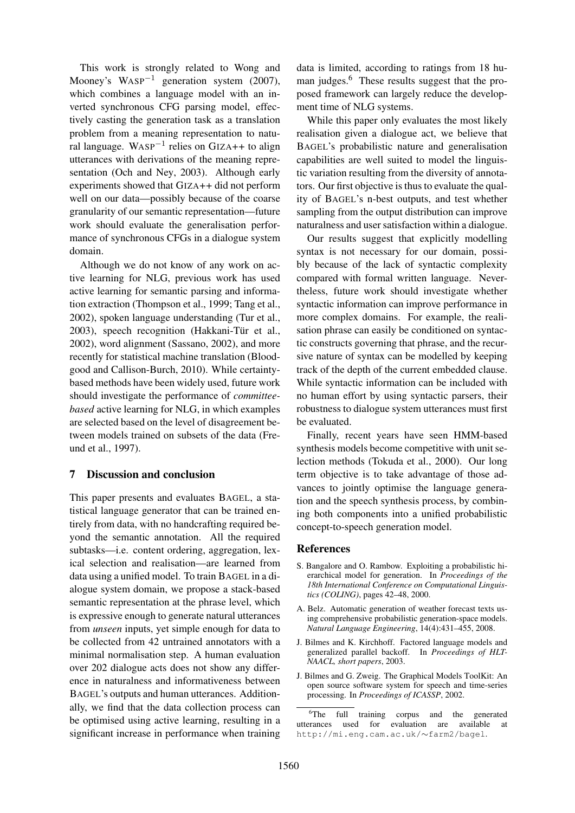This work is strongly related to Wong and Mooney's WASP<sup> $-1$ </sup> generation system (2007), which combines a language model with an inverted synchronous CFG parsing model, effectively casting the generation task as a translation problem from a meaning representation to natural language. WASP<sup>-1</sup> relies on GIZA++ to align utterances with derivations of the meaning representation (Och and Ney, 2003). Although early experiments showed that GIZA++ did not perform well on our data—possibly because of the coarse granularity of our semantic representation—future work should evaluate the generalisation performance of synchronous CFGs in a dialogue system domain.

Although we do not know of any work on active learning for NLG, previous work has used active learning for semantic parsing and information extraction (Thompson et al., 1999; Tang et al., 2002), spoken language understanding (Tur et al., 2003), speech recognition (Hakkani-Tür et al., 2002), word alignment (Sassano, 2002), and more recently for statistical machine translation (Bloodgood and Callison-Burch, 2010). While certaintybased methods have been widely used, future work should investigate the performance of *committeebased* active learning for NLG, in which examples are selected based on the level of disagreement between models trained on subsets of the data (Freund et al., 1997).

# 7 Discussion and conclusion

This paper presents and evaluates BAGEL, a statistical language generator that can be trained entirely from data, with no handcrafting required beyond the semantic annotation. All the required subtasks—i.e. content ordering, aggregation, lexical selection and realisation—are learned from data using a unified model. To train BAGEL in a dialogue system domain, we propose a stack-based semantic representation at the phrase level, which is expressive enough to generate natural utterances from *unseen* inputs, yet simple enough for data to be collected from 42 untrained annotators with a minimal normalisation step. A human evaluation over 202 dialogue acts does not show any difference in naturalness and informativeness between BAGEL's outputs and human utterances. Additionally, we find that the data collection process can be optimised using active learning, resulting in a significant increase in performance when training

data is limited, according to ratings from 18 human judges.<sup>6</sup> These results suggest that the proposed framework can largely reduce the development time of NLG systems.

While this paper only evaluates the most likely realisation given a dialogue act, we believe that BAGEL's probabilistic nature and generalisation capabilities are well suited to model the linguistic variation resulting from the diversity of annotators. Our first objective is thus to evaluate the quality of BAGEL's n-best outputs, and test whether sampling from the output distribution can improve naturalness and user satisfaction within a dialogue.

Our results suggest that explicitly modelling syntax is not necessary for our domain, possibly because of the lack of syntactic complexity compared with formal written language. Nevertheless, future work should investigate whether syntactic information can improve performance in more complex domains. For example, the realisation phrase can easily be conditioned on syntactic constructs governing that phrase, and the recursive nature of syntax can be modelled by keeping track of the depth of the current embedded clause. While syntactic information can be included with no human effort by using syntactic parsers, their robustness to dialogue system utterances must first be evaluated.

Finally, recent years have seen HMM-based synthesis models become competitive with unit selection methods (Tokuda et al., 2000). Our long term objective is to take advantage of those advances to jointly optimise the language generation and the speech synthesis process, by combining both components into a unified probabilistic concept-to-speech generation model.

## **References**

- S. Bangalore and O. Rambow. Exploiting a probabilistic hierarchical model for generation. In *Proceedings of the 18th International Conference on Computational Linguistics (COLING)*, pages 42–48, 2000.
- A. Belz. Automatic generation of weather forecast texts using comprehensive probabilistic generation-space models. *Natural Language Engineering*, 14(4):431–455, 2008.
- J. Bilmes and K. Kirchhoff. Factored language models and generalized parallel backoff. In *Proceedings of HLT-NAACL, short papers*, 2003.
- J. Bilmes and G. Zweig. The Graphical Models ToolKit: An open source software system for speech and time-series processing. In *Proceedings of ICASSP*, 2002.

<sup>&</sup>lt;sup>6</sup>The full training corpus and the generated utterances used for evaluation are available at http://mi.eng.cam.ac.uk/∼farm2/bagel.